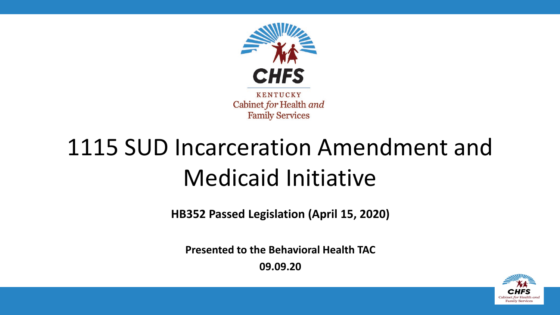

# 1115 SUD Incarceration Amendment and Medicaid Initiative

**HB352 Passed Legislation (April 15, 2020)**

**Presented to the Behavioral Health TAC** 

**09.09.20**

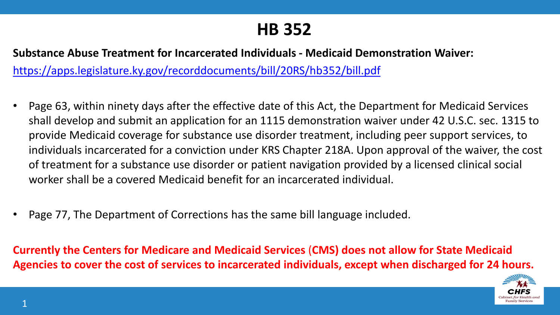### **HB 352**

**Substance Abuse Treatment for Incarcerated Individuals - Medicaid Demonstration Waiver:**  <https://apps.legislature.ky.gov/recorddocuments/bill/20RS/hb352/bill.pdf>

- Page 63, within ninety days after the effective date of this Act, the Department for Medicaid Services shall develop and submit an application for an 1115 demonstration waiver under 42 U.S.C. sec. 1315 to provide Medicaid coverage for substance use disorder treatment, including peer support services, to individuals incarcerated for a conviction under KRS Chapter 218A. Upon approval of the waiver, the cost of treatment for a substance use disorder or patient navigation provided by a licensed clinical social worker shall be a covered Medicaid benefit for an incarcerated individual.
- Page 77, The Department of Corrections has the same bill language included.

**Currently the Centers for Medicare and Medicaid Services** (**CMS) does not allow for State Medicaid Agencies to cover the cost of services to incarcerated individuals, except when discharged for 24 hours.**

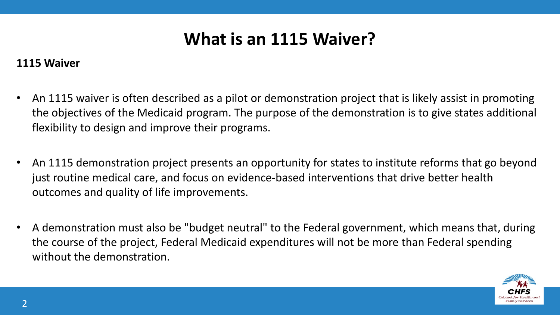# **What is an 1115 Waiver?**

#### **1115 Waiver**

- An 1115 waiver is often described as a pilot or demonstration project that is likely assist in promoting the objectives of the Medicaid program. The purpose of the demonstration is to give states additional flexibility to design and improve their programs.
- An 1115 demonstration project presents an opportunity for states to institute reforms that go beyond just routine medical care, and focus on evidence-based interventions that drive better health outcomes and quality of life improvements.
- A demonstration must also be "budget neutral" to the Federal government, which means that, during the course of the project, Federal Medicaid expenditures will not be more than Federal spending without the demonstration.

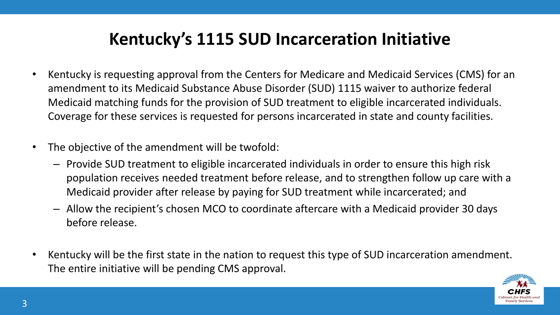# **Kentucky's 1115 SUD Incarceration Initiative**

- Kentucky is requesting approval from the Centers for Medicare and Medicaid Services (CMS) for an amendment to its Medicaid Substance Abuse Disorder (SUD) 1115 waiver to authorize federal Medicaid matching funds for the provision of SUD treatment to eligible incarcerated individuals. Coverage for these services is requested for persons incarcerated in state and county facilities.
- The objective of the amendment will be twofold:
	- Provide SUD treatment to eligible incarcerated individuals in order to ensure this high risk population receives needed treatment before release, and to strengthen follow up care with a Medicaid provider after release by paying for SUD treatment while incarcerated; and
	- Allow the recipient's chosen MCO to coordinate aftercare with a Medicaid provider 30 days before release.
- Kentucky will be the first state in the nation to request this type of SUD incarceration amendment. The entire initiative will be pending CMS approval.

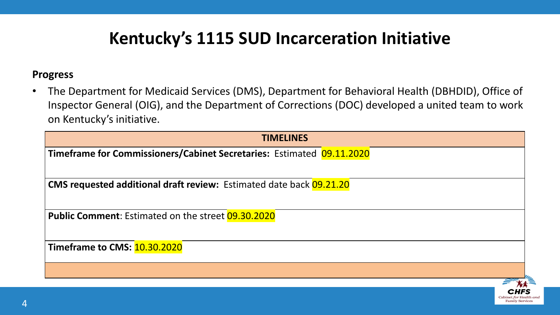# **Kentucky's 1115 SUD Incarceration Initiative**

#### **Progress**

• The Department for Medicaid Services (DMS), Department for Behavioral Health (DBHDID), Office of Inspector General (OIG), and the Department of Corrections (DOC) developed a united team to work on Kentucky's initiative.

| <b>TIMELINES</b>                                                           |  |
|----------------------------------------------------------------------------|--|
| Timeframe for Commissioners/Cabinet Secretaries: Estimated 09.11.2020      |  |
|                                                                            |  |
| <b>CMS requested additional draft review:</b> Estimated date back 09.21.20 |  |
|                                                                            |  |
| <b>Public Comment:</b> Estimated on the street 09.30.2020                  |  |
|                                                                            |  |
| Timeframe to CMS: 10.30.2020                                               |  |
|                                                                            |  |
|                                                                            |  |
|                                                                            |  |

**Family Service**